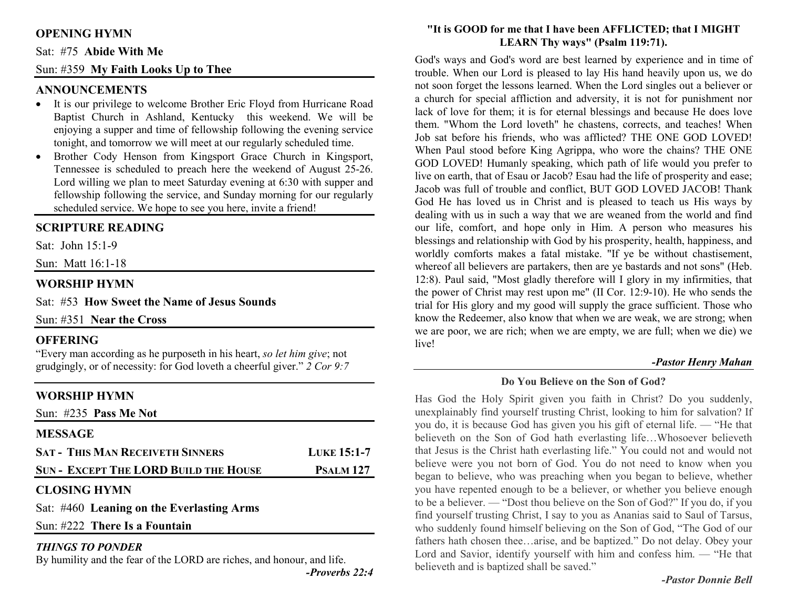# **OPENING HYMN**

#### Sat: #75 **Abide With Me**

### Sun: #359 **My Faith Looks Up to Thee**

#### **ANNOUNCEMENTS**

- It is our privilege to welcome Brother Eric Floyd from Hurricane Road Baptist Church in Ashland, Kentucky this weekend. We will be enjoying a supper and time of fellowship following the evening service tonight, and tomorrow we will meet at our regularly scheduled time.
- Brother Cody Henson from Kingsport Grace Church in Kingsport, •Tennessee is scheduled to preach here the weekend of August 25-26. Lord willing we plan to meet Saturday evening at 6:30 with supper and fellowship following the service, and Sunday morning for our regularly scheduled service. We hope to see you here, invite a friend!

#### **SCRIPTURE READING**

Sat: John  $15 \cdot 1-9$ 

Sun: Matt 16:1-18

#### **WORSHIP HYMN**

Sat: #53 **How Sweet the Name of Jesus Sounds**

Sun: #351 **Near the Cross** 

#### **OFFERING**

 "Every man according as he purposeth in his heart, *so let him give*; not grudgingly, or of necessity: for God loveth a cheerful giver." *2 Cor 9:7*

## **WORSHIP HYMN**

| Sun: $\#235$ Pass Me Not                     |                    |
|----------------------------------------------|--------------------|
| <b>MESSAGE</b>                               |                    |
| <b>SAT - THIS MAN RECEIVETH SINNERS</b>      | <b>LUKE 15:1-7</b> |
| <b>SUN - EXCEPT THE LORD BUILD THE HOUSE</b> | <b>PSALM 127</b>   |
|                                              |                    |

#### **CLOSING HYMN**

Sat: #460 **Leaning on the Everlasting Arms**

Sun: #222 **There Is a Fountain**

#### *THINGS TO PONDER*

By humility and the fear of the LORD are riches, and honour, and life.

#### **"It is GOOD for me that I have been AFFLICTED; that I MIGHT LEARN Thy ways" (Psalm 119:71).**

God's ways and God's word are best learned by experience and in time of trouble. When our Lord is pleased to lay His hand heavily upon us, we do not soon forget the lessons learned. When the Lord singles out a believer or a church for special affliction and adversity, it is not for punishment nor lack of love for them; it is for eternal blessings and because He does love them. "Whom the Lord loveth" he chastens, corrects, and teaches! When Job sat before his friends, who was afflicted? THE ONE GOD LOVED! When Paul stood before King Agrippa, who wore the chains? THE ONE GOD LOVED! Humanly speaking, which path of life would you prefer to live on earth, that of Esau or Jacob? Esau had the life of prosperity and ease; Jacob was full of trouble and conflict, BUT GOD LOVED JACOB! Thank God He has loved us in Christ and is pleased to teach us His ways by dealing with us in such a way that we are weaned from the world and find our life, comfort, and hope only in Him. A person who measures his blessings and relationship with God by his prosperity, health, happiness, and worldly comforts makes a fatal mistake. "If ye be without chastisement, whereof all believers are partakers, then are ye bastards and not sons" (Heb. 12:8). Paul said, "Most gladly therefore will I glory in my infirmities, that the power of Christ may rest upon me" (II Cor. 12:9-10). He who sends the trial for His glory and my good will supply the grace sufficient. Those who know the Redeemer, also know that when we are weak, we are strong; when we are poor, we are rich; when we are empty, we are full; when we die) we live!

#### *-Pastor Henry Mahan*

**Do You Believe on the Son of God?** 

Has God the Holy Spirit given you faith in Christ? Do you suddenly, unexplainably find yourself trusting Christ, looking to him for salvation? If you do, it is because God has given you his gift of eternal life. — "He that believeth on the Son of God hath everlasting life…Whosoever believeth that Jesus is the Christ hath everlasting life." You could not and would not believe were you not born of God. You do not need to know when you began to believe, who was preaching when you began to believe, whether you have repented enough to be a believer, or whether you believe enough to be a believer. — "Dost thou believe on the Son of God?" If you do, if you find yourself trusting Christ, I say to you as Ananias said to Saul of Tarsus, who suddenly found himself believing on the Son of God, "The God of our fathers hath chosen thee…arise, and be baptized." Do not delay. Obey your Lord and Savior, identify yourself with him and confess him. — "He that believeth and is baptized shall be saved."